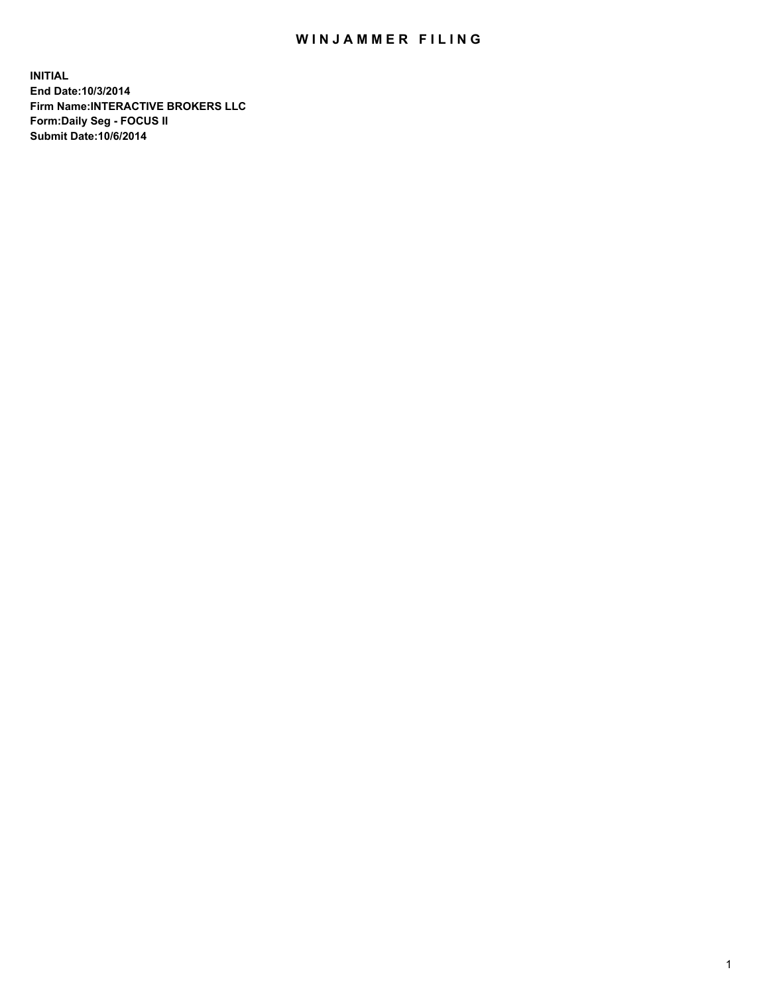## WIN JAMMER FILING

**INITIAL End Date:10/3/2014 Firm Name:INTERACTIVE BROKERS LLC Form:Daily Seg - FOCUS II Submit Date:10/6/2014**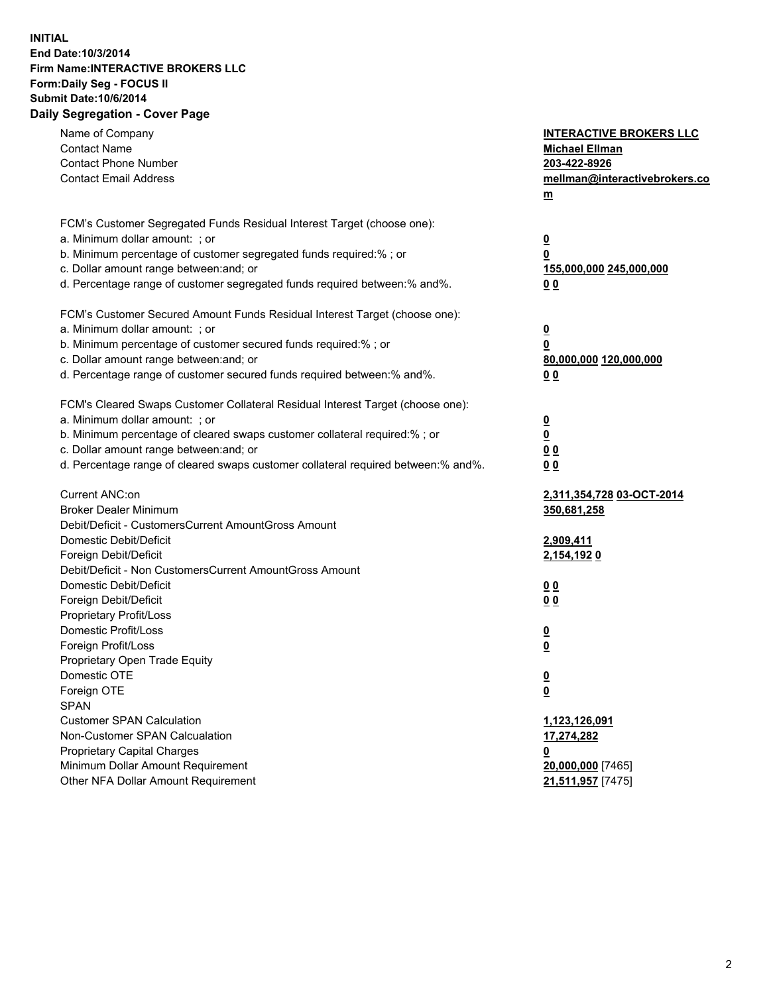## **INITIAL End Date:10/3/2014 Firm Name:INTERACTIVE BROKERS LLC Form:Daily Seg - FOCUS II Submit Date:10/6/2014 Daily Segregation - Cover Page**

| Name of Company<br><b>Contact Name</b><br><b>Contact Phone Number</b><br><b>Contact Email Address</b>    | <b>INTERACTIVE BROKERS LLC</b><br><b>Michael Ellman</b><br>203-422-8926<br>mellman@interactivebrokers.co<br>$m$ |
|----------------------------------------------------------------------------------------------------------|-----------------------------------------------------------------------------------------------------------------|
| FCM's Customer Segregated Funds Residual Interest Target (choose one):<br>a. Minimum dollar amount: ; or | $\overline{\mathbf{0}}$                                                                                         |
| b. Minimum percentage of customer segregated funds required:% ; or                                       | 0                                                                                                               |
| c. Dollar amount range between: and; or                                                                  | 155,000,000 245,000,000                                                                                         |
| d. Percentage range of customer segregated funds required between:% and%.                                | 0 <sub>0</sub>                                                                                                  |
| FCM's Customer Secured Amount Funds Residual Interest Target (choose one):                               |                                                                                                                 |
| a. Minimum dollar amount: ; or                                                                           | $\overline{\mathbf{0}}$                                                                                         |
| b. Minimum percentage of customer secured funds required:% ; or                                          | 0                                                                                                               |
| c. Dollar amount range between: and; or                                                                  | 80,000,000 120,000,000                                                                                          |
| d. Percentage range of customer secured funds required between:% and%.                                   | 0 <sub>0</sub>                                                                                                  |
| FCM's Cleared Swaps Customer Collateral Residual Interest Target (choose one):                           |                                                                                                                 |
| a. Minimum dollar amount: ; or                                                                           | $\overline{\mathbf{0}}$                                                                                         |
| b. Minimum percentage of cleared swaps customer collateral required:% ; or                               | $\overline{\mathbf{0}}$                                                                                         |
| c. Dollar amount range between: and; or                                                                  | 0 <sub>0</sub>                                                                                                  |
| d. Percentage range of cleared swaps customer collateral required between:% and%.                        | 0 <sub>0</sub>                                                                                                  |
| Current ANC:on                                                                                           | 2,311,354,728 03-OCT-2014                                                                                       |
| <b>Broker Dealer Minimum</b>                                                                             | 350,681,258                                                                                                     |
| Debit/Deficit - CustomersCurrent AmountGross Amount                                                      |                                                                                                                 |
| Domestic Debit/Deficit                                                                                   | 2,909,411                                                                                                       |
| Foreign Debit/Deficit                                                                                    | 2,154,1920                                                                                                      |
| Debit/Deficit - Non CustomersCurrent AmountGross Amount                                                  |                                                                                                                 |
| Domestic Debit/Deficit<br>Foreign Debit/Deficit                                                          | 0 <sub>0</sub>                                                                                                  |
| Proprietary Profit/Loss                                                                                  | 0 <sub>0</sub>                                                                                                  |
| Domestic Profit/Loss                                                                                     | $\overline{\mathbf{0}}$                                                                                         |
| Foreign Profit/Loss                                                                                      | $\underline{\mathbf{0}}$                                                                                        |
| Proprietary Open Trade Equity                                                                            |                                                                                                                 |
| Domestic OTE                                                                                             | <u>0</u>                                                                                                        |
| Foreign OTE                                                                                              | <u>0</u>                                                                                                        |
| <b>SPAN</b>                                                                                              |                                                                                                                 |
| <b>Customer SPAN Calculation</b>                                                                         | 1,123,126,091                                                                                                   |
| Non-Customer SPAN Calcualation                                                                           | 17,274,282                                                                                                      |
| Proprietary Capital Charges                                                                              | <u>0</u>                                                                                                        |
| Minimum Dollar Amount Requirement                                                                        | 20,000,000 [7465]                                                                                               |
| Other NFA Dollar Amount Requirement                                                                      | 21,511,957 [7475]                                                                                               |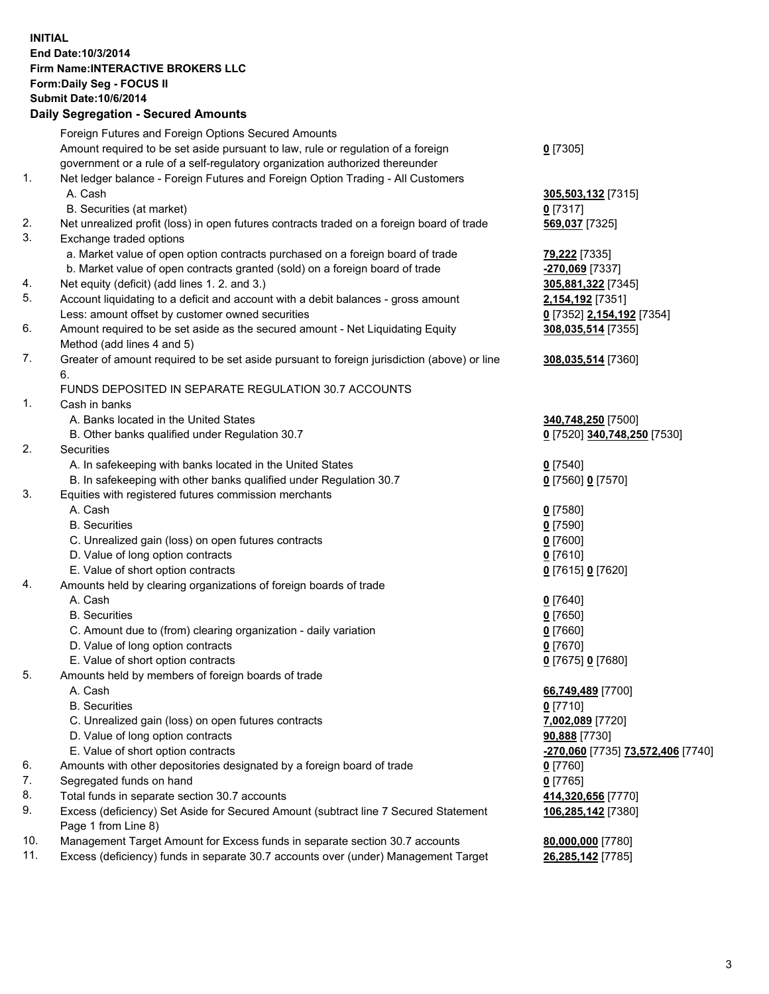## **INITIAL End Date:10/3/2014 Firm Name:INTERACTIVE BROKERS LLC Form:Daily Seg - FOCUS II Submit Date:10/6/2014 Daily Segregation - Secured Amounts**

| <u>-270,060</u> [7735] 73,572,406 [7740] |
|------------------------------------------|
|                                          |
|                                          |
|                                          |
|                                          |
|                                          |
|                                          |
|                                          |
|                                          |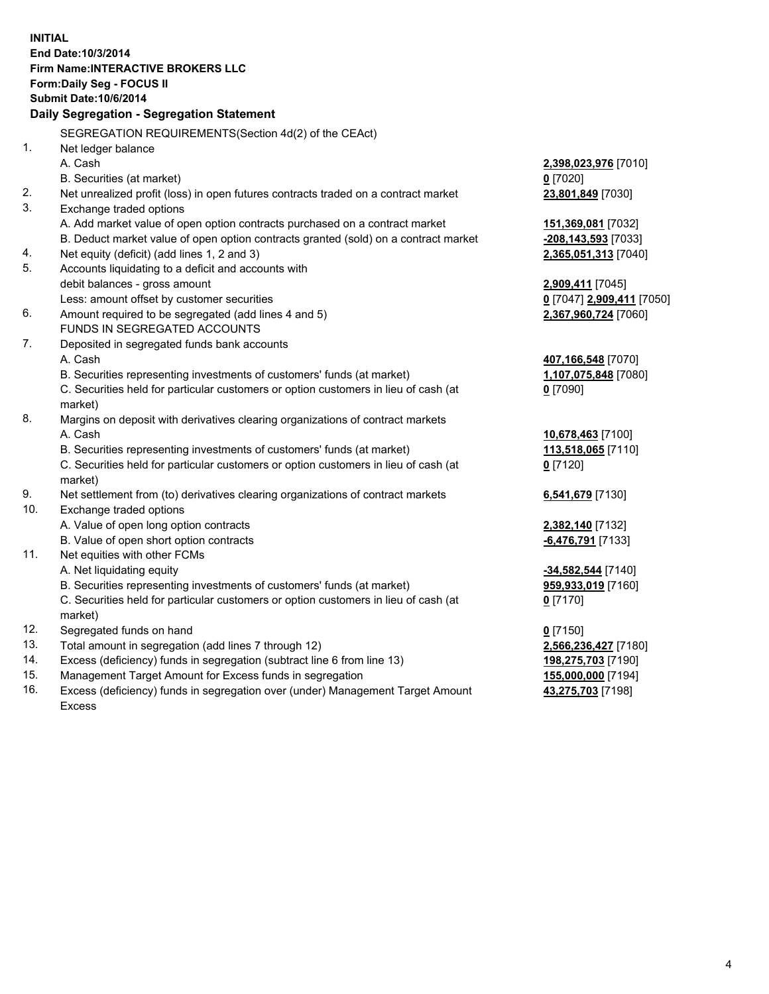**INITIAL End Date:10/3/2014 Firm Name:INTERACTIVE BROKERS LLC Form:Daily Seg - FOCUS II Submit Date:10/6/2014 Daily Segregation - Segregation Statement** SEGREGATION REQUIREMENTS(Section 4d(2) of the CEAct) 1. Net ledger balance A. Cash **2,398,023,976** [7010] B. Securities (at market) **0** [7020] 2. Net unrealized profit (loss) in open futures contracts traded on a contract market **23,801,849** [7030] 3. Exchange traded options A. Add market value of open option contracts purchased on a contract market **151,369,081** [7032] B. Deduct market value of open option contracts granted (sold) on a contract market **-208,143,593** [7033] 4. Net equity (deficit) (add lines 1, 2 and 3) **2,365,051,313** [7040] 5. Accounts liquidating to a deficit and accounts with debit balances - gross amount **2,909,411** [7045] Less: amount offset by customer securities **0** [7047] **2,909,411** [7050] 6. Amount required to be segregated (add lines 4 and 5) **2,367,960,724** [7060] FUNDS IN SEGREGATED ACCOUNTS 7. Deposited in segregated funds bank accounts A. Cash **407,166,548** [7070] B. Securities representing investments of customers' funds (at market) **1,107,075,848** [7080] C. Securities held for particular customers or option customers in lieu of cash (at market) **0** [7090] 8. Margins on deposit with derivatives clearing organizations of contract markets A. Cash **10,678,463** [7100] B. Securities representing investments of customers' funds (at market) **113,518,065** [7110] C. Securities held for particular customers or option customers in lieu of cash (at market) **0** [7120] 9. Net settlement from (to) derivatives clearing organizations of contract markets **6,541,679** [7130] 10. Exchange traded options A. Value of open long option contracts **2,382,140** [7132] B. Value of open short option contracts **-6,476,791** [7133] 11. Net equities with other FCMs A. Net liquidating equity **-34,582,544** [7140] B. Securities representing investments of customers' funds (at market) **959,933,019** [7160] C. Securities held for particular customers or option customers in lieu of cash (at market) **0** [7170] 12. Segregated funds on hand **0** [7150] 13. Total amount in segregation (add lines 7 through 12) **2,566,236,427** [7180] 14. Excess (deficiency) funds in segregation (subtract line 6 from line 13) **198,275,703** [7190] 15. Management Target Amount for Excess funds in segregation **155,000,000** [7194]

16. Excess (deficiency) funds in segregation over (under) Management Target Amount Excess

**43,275,703** [7198]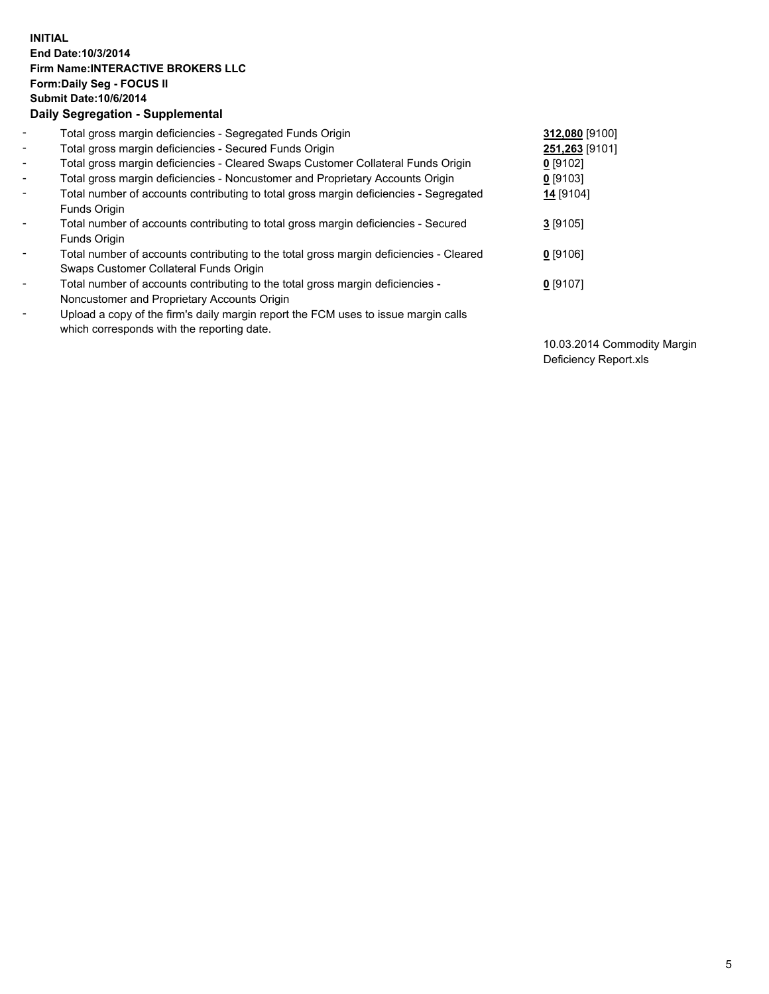## **INITIAL End Date:10/3/2014 Firm Name:INTERACTIVE BROKERS LLC Form:Daily Seg - FOCUS II Submit Date:10/6/2014 Daily Segregation - Supplemental**

| $\blacksquare$           | Total gross margin deficiencies - Segregated Funds Origin                              | 312,080 [9100] |
|--------------------------|----------------------------------------------------------------------------------------|----------------|
| $\blacksquare$           | Total gross margin deficiencies - Secured Funds Origin                                 | 251,263 [9101] |
| $\blacksquare$           | Total gross margin deficiencies - Cleared Swaps Customer Collateral Funds Origin       | $0$ [9102]     |
| $\blacksquare$           | Total gross margin deficiencies - Noncustomer and Proprietary Accounts Origin          | $0$ [9103]     |
| $\blacksquare$           | Total number of accounts contributing to total gross margin deficiencies - Segregated  | 14 [9104]      |
|                          | Funds Origin                                                                           |                |
| $\blacksquare$           | Total number of accounts contributing to total gross margin deficiencies - Secured     | $3$ [9105]     |
|                          | Funds Origin                                                                           |                |
| $\overline{\phantom{a}}$ | Total number of accounts contributing to the total gross margin deficiencies - Cleared | $0$ [9106]     |
|                          | Swaps Customer Collateral Funds Origin                                                 |                |
| -                        | Total number of accounts contributing to the total gross margin deficiencies -         | $0$ [9107]     |
|                          | Noncustomer and Proprietary Accounts Origin                                            |                |
| $\blacksquare$           | Upload a copy of the firm's daily margin report the FCM uses to issue margin calls     |                |
|                          | which corresponds with the reporting date.                                             |                |

10.03.2014 Commodity Margin Deficiency Report.xls